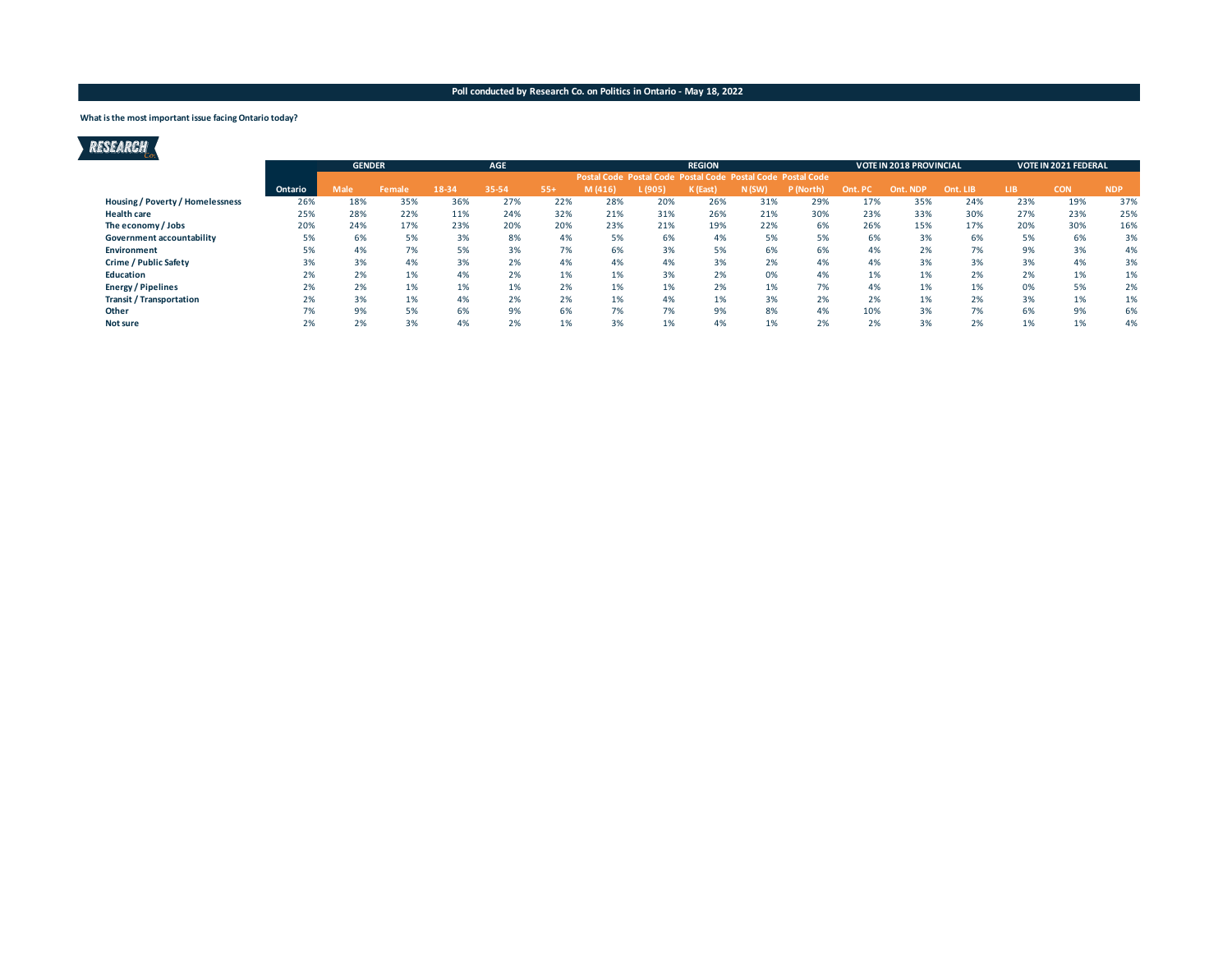#### **What is the most important issue facing Ontario today?**

| <b>RESEARCH</b>                         |         |               |        |       |                          |       |                                                             |     |               |          |            |     |                                |          |     |                             |            |
|-----------------------------------------|---------|---------------|--------|-------|--------------------------|-------|-------------------------------------------------------------|-----|---------------|----------|------------|-----|--------------------------------|----------|-----|-----------------------------|------------|
|                                         |         | <b>GENDER</b> |        |       | <b>AGE</b>               |       |                                                             |     | <b>REGION</b> |          |            |     | <b>VOTE IN 2018 PROVINCIAL</b> |          |     | <b>VOTE IN 2021 FEDERAL</b> |            |
|                                         |         |               |        |       |                          |       | Postal Code Postal Code Postal Code Postal Code Postal Code |     |               |          |            |     |                                |          |     |                             |            |
|                                         | Ontario | <b>Male</b>   | Female | 18-34 | 35-54                    | $55+$ | M (416)                                                     |     | K (East)      | $N$ (SW) | 'P (North) | Ont | <b>NDP</b><br>Ont              | Ont. LIB | LIB | <b>CON</b>                  | <b>NDP</b> |
| <b>Housing / Poverty / Homelessness</b> | 26%     | 18%           | 35%    | 36%   | 27%                      | 22%   | 28%                                                         | 20% | 26%           | 31%      | 29%        | 17% | 35%                            | 24%      | 23% | 19%                         | 37%        |
| <b>Health care</b>                      | 25%     | 28%           | 22%    | 11%   | 24%                      | 32%   | 21%                                                         | 31% | 26%           | 21%      | 30%        | 23% | 33%                            | 30%      | 27% | 23%                         | 25%        |
| The economy / Jobs                      | 20%     | 24%           | 17%    | 23%   | 20%                      | 20%   | 23%                                                         | 21% | 19%           | 22%      | 6%         | 26% | 15%                            | 17%      | 20% | 30%                         | 16%        |
| Government accountability               | 5%      | 6%            | 5%     | 3%    | 8%                       | 4%    | 5%                                                          | 6%  | 4%            | 5%       | 5%         | 6%  | 3%                             | 6%       | 5%  | 6%                          | 3%         |
| Environment                             | 5%      | 4%            | 7%     | 5%    | 3%                       | 7%    | 6%                                                          | 3%  | 5%            | 6%       | 6%         | 4%  | 2%                             | 7%       | 9%  | 3%                          | 4%         |
| Crime / Public Safety                   | 3%      | 3%            | 4%     | 3%    | 20 <sup>0</sup><br>$2\%$ | 4%    | 4%                                                          | 4%  | 3%            | 2%       | 4%         | 4%  | 3%                             | 3%       | 3%  | 4%                          | 3%         |
| Education                               | 2%      | 2%            | 1%     | 4%    | 2%                       | 1%    | 1%                                                          | 3%  | 2%            | 0%       | 4%         | 1%  | 1%                             | 2%       | 2%  | 1%                          | 1%         |
| <b>Energy / Pipelines</b>               | 2%      | 2%            | 1%     | 1%    | 1%                       | 2%    | 1%                                                          | 1%  | 2%            | 1%       | 7%         | 4%  | 1%                             | 1%       | 0%  | 5%                          | 2%         |
| <b>Transit / Transportation</b>         | 2%      | 3%            | 1%     | 4%    | 2%                       | 2%    | 1%                                                          | 4%  | 1%            | 3%       | 2%         | 2%  | 1%                             | 2%       | 3%  | 1%                          | 1%         |
| Other                                   | 7%      | 9%            | 5%     | 6%    | 9%                       | 6%    | 7%                                                          | 7%  | 9%            | 8%       | 4%         | 10% | 3%                             | 7%       | 6%  | 9%                          | 6%         |
| <b>Not sure</b>                         | 2%      | 2%            | 3%     | 4%    | 2%                       | 1%    | 3%                                                          | 1%  | 4%            | 1%       | 2%         | 2%  | 3%                             | 2%       | 1%  | 1%                          | 4%         |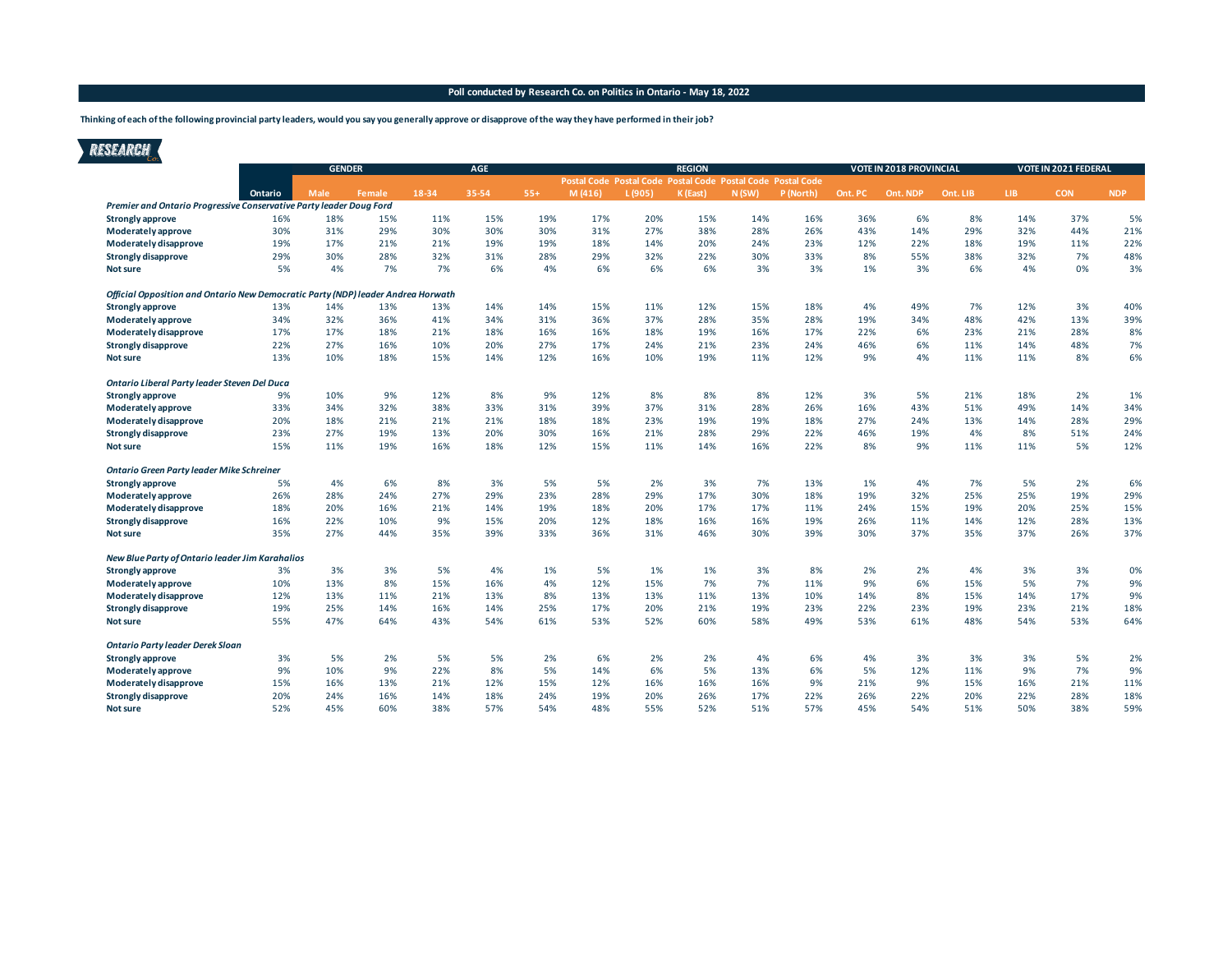**Thinking of each of the following provincial party leaders, would you say you generally approve or disapprove of the way they have performed in their job?**

|                                                                                  |         | <b>GENDER</b> |        | AGE   |       |       |                                                             | <b>REGION</b> |          |       |           | VOTE IN 2018 PROVINCIAL |          |          | VOTE IN 2021 FEDERAL |            |            |
|----------------------------------------------------------------------------------|---------|---------------|--------|-------|-------|-------|-------------------------------------------------------------|---------------|----------|-------|-----------|-------------------------|----------|----------|----------------------|------------|------------|
|                                                                                  |         |               |        |       |       |       | Postal Code Postal Code Postal Code Postal Code Postal Code |               |          |       |           |                         |          |          |                      |            |            |
|                                                                                  | Ontario | <b>Male</b>   | Female | 18-34 | 35-54 | $55+$ | M(416)                                                      | L(905)        | K (East) | N(SW) | P (North) | Ont. PC                 | Ont. NDP | Ont. LIB | LIB.                 | <b>CON</b> | <b>NDP</b> |
| Premier and Ontario Progressive Conservative Party leader Doug Ford              |         |               |        |       |       |       |                                                             |               |          |       |           |                         |          |          |                      |            |            |
| Strongly approve                                                                 | 16%     | 18%           | 15%    | 11%   | 15%   | 19%   | 17%                                                         | 20%           | 15%      | 14%   | 16%       | 36%                     | 6%       | 8%       | 14%                  | 37%        | 5%         |
| Moderately approve                                                               | 30%     | 31%           | 29%    | 30%   | 30%   | 30%   | 31%                                                         | 27%           | 38%      | 28%   | 26%       | 43%                     | 14%      | 29%      | 32%                  | 44%        | 21%        |
| Moderately disapprove                                                            | 19%     | 17%           | 21%    | 21%   | 19%   | 19%   | 18%                                                         | 14%           | 20%      | 24%   | 23%       | 12%                     | 22%      | 18%      | 19%                  | 11%        | 22%        |
| <b>Strongly disapprove</b>                                                       | 29%     | 30%           | 28%    | 32%   | 31%   | 28%   | 29%                                                         | 32%           | 22%      | 30%   | 33%       | 8%                      | 55%      | 38%      | 32%                  | 7%         | 48%        |
| Not sure                                                                         | 5%      | 4%            | 7%     | 7%    | 6%    | 4%    | 6%                                                          | 6%            | 6%       | 3%    | 3%        | 1%                      | 3%       | 6%       | 4%                   | 0%         | 3%         |
| Official Opposition and Ontario New Democratic Party (NDP) leader Andrea Horwath |         |               |        |       |       |       |                                                             |               |          |       |           |                         |          |          |                      |            |            |
| Strongly approve                                                                 | 13%     | 14%           | 13%    | 13%   | 14%   | 14%   | 15%                                                         | 11%           | 12%      | 15%   | 18%       | 4%                      | 49%      | 7%       | 12%                  | 3%         | 40%        |
| Moderately approve                                                               | 34%     | 32%           | 36%    | 41%   | 34%   | 31%   | 36%                                                         | 37%           | 28%      | 35%   | 28%       | 19%                     | 34%      | 48%      | 42%                  | 13%        | 39%        |
| Moderately disapprove                                                            | 17%     | 17%           | 18%    | 21%   | 18%   | 16%   | 16%                                                         | 18%           | 19%      | 16%   | 17%       | 22%                     | 6%       | 23%      | 21%                  | 28%        | 8%         |
| <b>Strongly disapprove</b>                                                       | 22%     | 27%           | 16%    | 10%   | 20%   | 27%   | 17%                                                         | 24%           | 21%      | 23%   | 24%       | 46%                     | 6%       | 11%      | 14%                  | 48%        | 7%         |
| Not sure                                                                         | 13%     | 10%           | 18%    | 15%   | 14%   | 12%   | 16%                                                         | 10%           | 19%      | 11%   | 12%       | 9%                      | 4%       | 11%      | 11%                  | 8%         | 6%         |
| Ontario Liberal Party leader Steven Del Duca                                     |         |               |        |       |       |       |                                                             |               |          |       |           |                         |          |          |                      |            |            |
| Strongly approve                                                                 | 9%      | 10%           | 9%     | 12%   | 8%    | 9%    | 12%                                                         | 8%            | 8%       | 8%    | 12%       | 3%                      | 5%       | 21%      | 18%                  | 2%         | 1%         |
| Moderately approve                                                               | 33%     | 34%           | 32%    | 38%   | 33%   | 31%   | 39%                                                         | 37%           | 31%      | 28%   | 26%       | 16%                     | 43%      | 51%      | 49%                  | 14%        | 34%        |
| Moderately disapprove                                                            | 20%     | 18%           | 21%    | 21%   | 21%   | 18%   | 18%                                                         | 23%           | 19%      | 19%   | 18%       | 27%                     | 24%      | 13%      | 14%                  | 28%        | 29%        |
| <b>Strongly disapprove</b>                                                       | 23%     | 27%           | 19%    | 13%   | 20%   | 30%   | 16%                                                         | 21%           | 28%      | 29%   | 22%       | 46%                     | 19%      | 4%       | 8%                   | 51%        | 24%        |
| <b>Not sure</b>                                                                  | 15%     | 11%           | 19%    | 16%   | 18%   | 12%   | 15%                                                         | 11%           | 14%      | 16%   | 22%       | 8%                      | 9%       | 11%      | 11%                  | 5%         | 12%        |
| <b>Ontario Green Party leader Mike Schreiner</b>                                 |         |               |        |       |       |       |                                                             |               |          |       |           |                         |          |          |                      |            |            |
| <b>Strongly approve</b>                                                          | 5%      | 4%            | 6%     | 8%    | 3%    | 5%    | 5%                                                          | 2%            | 3%       | 7%    | 13%       | 1%                      | 4%       | 7%       | 5%                   | 2%         | 6%         |
| Moderately approve                                                               | 26%     | 28%           | 24%    | 27%   | 29%   | 23%   | 28%                                                         | 29%           | 17%      | 30%   | 18%       | 19%                     | 32%      | 25%      | 25%                  | 19%        | 29%        |
| Moderately disapprove                                                            | 18%     | 20%           | 16%    | 21%   | 14%   | 19%   | 18%                                                         | 20%           | 17%      | 17%   | 11%       | 24%                     | 15%      | 19%      | 20%                  | 25%        | 15%        |
| <b>Strongly disapprove</b>                                                       | 16%     | 22%           | 10%    | 9%    | 15%   | 20%   | 12%                                                         | 18%           | 16%      | 16%   | 19%       | 26%                     | 11%      | 14%      | 12%                  | 28%        | 13%        |
| Not sure                                                                         | 35%     | 27%           | 44%    | 35%   | 39%   | 33%   | 36%                                                         | 31%           | 46%      | 30%   | 39%       | 30%                     | 37%      | 35%      | 37%                  | 26%        | 37%        |
| New Blue Party of Ontario leader Jim Karahalios                                  |         |               |        |       |       |       |                                                             |               |          |       |           |                         |          |          |                      |            |            |
| Strongly approve                                                                 | 3%      | 3%            | 3%     | 5%    | 4%    | 1%    | 5%                                                          | 1%            | 1%       | 3%    | 8%        | 2%                      | 2%       | 4%       | 3%                   | 3%         | 0%         |
| Moderately approve                                                               | 10%     | 13%           | 8%     | 15%   | 16%   | 4%    | 12%                                                         | 15%           | 7%       | 7%    | 11%       | 9%                      | 6%       | 15%      | 5%                   | 7%         | 9%         |
| Moderately disapprove                                                            | 12%     | 13%           | 11%    | 21%   | 13%   | 8%    | 13%                                                         | 13%           | 11%      | 13%   | 10%       | 14%                     | 8%       | 15%      | 14%                  | 17%        | 9%         |
| Strongly disapprove                                                              | 19%     | 25%           | 14%    | 16%   | 14%   | 25%   | 17%                                                         | 20%           | 21%      | 19%   | 23%       | 22%                     | 23%      | 19%      | 23%                  | 21%        | 18%        |
| <b>Not sure</b>                                                                  | 55%     | 47%           | 64%    | 43%   | 54%   | 61%   | 53%                                                         | 52%           | 60%      | 58%   | 49%       | 53%                     | 61%      | 48%      | 54%                  | 53%        | 64%        |
| <b>Ontario Party leader Derek Sloan</b>                                          |         |               |        |       |       |       |                                                             |               |          |       |           |                         |          |          |                      |            |            |
| <b>Strongly approve</b>                                                          | 3%      | 5%            | 2%     | 5%    | 5%    | 2%    | 6%                                                          | 2%            | 2%       | 4%    | 6%        | 4%                      | 3%       | 3%       | 3%                   | 5%         | 2%         |
| Moderately approve                                                               | 9%      | 10%           | 9%     | 22%   | 8%    | 5%    | 14%                                                         | 6%            | 5%       | 13%   | 6%        | 5%                      | 12%      | 11%      | 9%                   | 7%         | 9%         |
| Moderately disapprove                                                            | 15%     | 16%           | 13%    | 21%   | 12%   | 15%   | 12%                                                         | 16%           | 16%      | 16%   | 9%        | 21%                     | 9%       | 15%      | 16%                  | 21%        | 11%        |
| <b>Strongly disapprove</b>                                                       | 20%     | 24%           | 16%    | 14%   | 18%   | 24%   | 19%                                                         | 20%           | 26%      | 17%   | 22%       | 26%                     | 22%      | 20%      | 22%                  | 28%        | 18%        |
| Not sure                                                                         | 52%     | 45%           | 60%    | 38%   | 57%   | 54%   | 48%                                                         | 55%           | 52%      | 51%   | 57%       | 45%                     | 54%      | 51%      | 50%                  | 38%        | 59%        |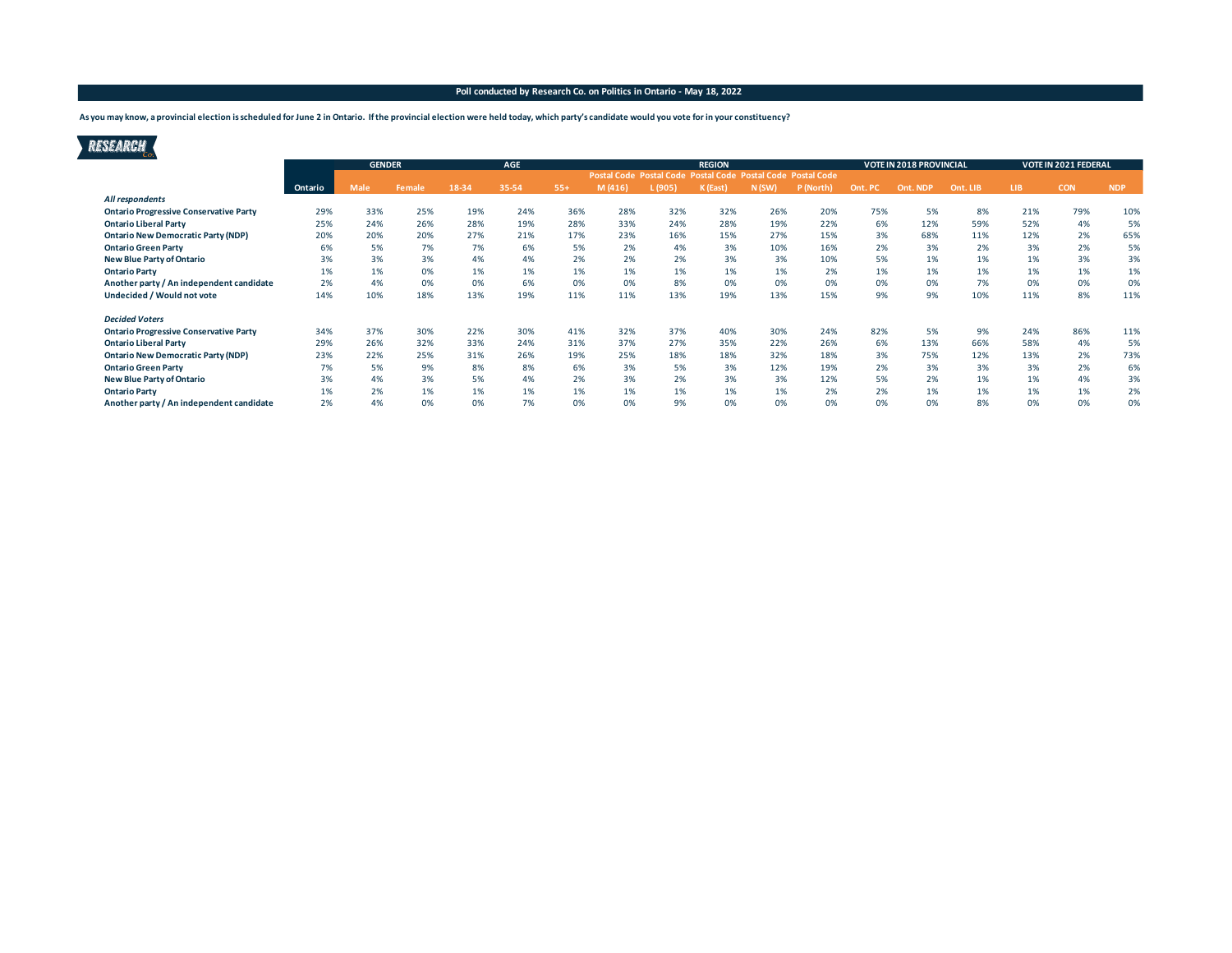**As you may know, a provincial election is scheduled for June 2 in Ontario. If the provincial election were held today, which party's candidate would you vote for in your constituency?**

 $\overline{\phantom{a}}$ 

| <b>RESEARCH</b>                               |         |               |               |       |            |       |         |         |                                                             |       |          |         |                                |          |      |                      |            |
|-----------------------------------------------|---------|---------------|---------------|-------|------------|-------|---------|---------|-------------------------------------------------------------|-------|----------|---------|--------------------------------|----------|------|----------------------|------------|
|                                               |         | <b>GENDER</b> |               |       | <b>AGE</b> |       |         |         | <b>REGION</b>                                               |       |          |         | <b>VOTE IN 2018 PROVINCIAL</b> |          |      | VOTE IN 2021 FEDERAL |            |
|                                               |         |               |               |       |            |       |         |         | Postal Code Postal Code Postal Code Postal Code Postal Code |       |          |         |                                |          |      |                      |            |
|                                               | Ontario | <b>Male</b>   | <b>Female</b> | 18-34 | 35-54      | $55+$ | M (416) | L (905) | K (East)                                                    | N(SW) | P (North | Ont. PC | Ont. NDP                       | Ont. LIB | LIB. | <b>CON</b>           | <b>NDP</b> |
| All respondents                               |         |               |               |       |            |       |         |         |                                                             |       |          |         |                                |          |      |                      |            |
| <b>Ontario Progressive Conservative Party</b> | 29%     | 33%           | 25%           | 19%   | 24%        | 36%   | 28%     | 32%     | 32%                                                         | 26%   | 20%      | 75%     | 5%                             | 8%       | 21%  | 79%                  | 10%        |
| <b>Ontario Liberal Party</b>                  | 25%     | 24%           | 26%           | 28%   | 19%        | 28%   | 33%     | 24%     | 28%                                                         | 19%   | 22%      | 6%      | 12%                            | 59%      | 52%  | 4%                   | 5%         |
| <b>Ontario New Democratic Party (NDP)</b>     | 20%     | 20%           | 20%           | 27%   | 21%        | 17%   | 23%     | 16%     | 15%                                                         | 27%   | 15%      | 3%      | 68%                            | 11%      | 12%  | 2%                   | 65%        |
| <b>Ontario Green Party</b>                    | 6%      | 5%            | 7%            | 7%    | 6%         | 5%    | 2%      | 4%      | 3%                                                          | 10%   | 16%      | 2%      | 3%                             | 2%       | 3%   | 2%                   | 5%         |
| <b>New Blue Party of Ontario</b>              | 3%      | 3%            | 3%            | 4%    | 4%         | 2%    | 2%      | 2%      | 3%                                                          | 3%    | 10%      | 5%      | 1%                             | 1%       | 1%   | 3%                   | 3%         |
| <b>Ontario Party</b>                          | 1%      | 1%            | 0%            | 1%    | 1%         | 1%    | 1%      | 1%      | 1%                                                          | 1%    | 2%       | 1%      | 1%                             | 1%       | 1%   | 1%                   | 1%         |
| Another party / An independent candidate      | 2%      | 4%            | 0%            | 0%    | 6%         | 0%    | 0%      | 8%      | 0%                                                          | 0%    | 0%       | 0%      | 0%                             | 7%       | 0%   | 0%                   | 0%         |
| Undecided / Would not vote                    | 14%     | 10%           | 18%           | 13%   | 19%        | 11%   | 11%     | 13%     | 19%                                                         | 13%   | 15%      | 9%      | 9%                             | 10%      | 11%  | 8%                   | 11%        |
| <b>Decided Voters</b>                         |         |               |               |       |            |       |         |         |                                                             |       |          |         |                                |          |      |                      |            |
| <b>Ontario Progressive Conservative Party</b> | 34%     | 37%           | 30%           | 22%   | 30%        | 41%   | 32%     | 37%     | 40%                                                         | 30%   | 24%      | 82%     | 5%                             | 9%       | 24%  | 86%                  | 11%        |
| <b>Ontario Liberal Party</b>                  | 29%     | 26%           | 32%           | 33%   | 24%        | 31%   | 37%     | 27%     | 35%                                                         | 22%   | 26%      | 6%      | 13%                            | 66%      | 58%  | 4%                   | 5%         |
| <b>Ontario New Democratic Party (NDP)</b>     | 23%     | 22%           | 25%           | 31%   | 26%        | 19%   | 25%     | 18%     | 18%                                                         | 32%   | 18%      | 3%      | 75%                            | 12%      | 13%  | 2%                   | 73%        |
| <b>Ontario Green Party</b>                    | 7%      | 5%            | 9%            | 8%    | 8%         | 6%    | 3%      | 5%      | 3%                                                          | 12%   | 19%      | 2%      | 3%                             | 3%       | 3%   | 2%                   | 6%         |
| <b>New Blue Party of Ontario</b>              | 3%      | 4%            | 3%            | 5%    | 4%         | 2%    | 3%      | 2%      | 3%                                                          | 3%    | 12%      | 5%      | 2%                             | 1%       | 1%   | 4%                   | 3%         |
| <b>Ontario Party</b>                          | 1%      | 2%            | 1%            | 1%    | 1%         | 1%    | 1%      | 1%      | 1%                                                          | 1%    | 2%       | 2%      | 1%                             | 1%       | 1%   | 1%                   | 2%         |
| Another party / An independent candidate      | 2%      | 4%            | 0%            | 0%    | 7%         | 0%    | 0%      | 9%      | 0%                                                          | 0%    | 0%       | 0%      | 0%                             | 8%       | 0%   | 0%                   | 0%         |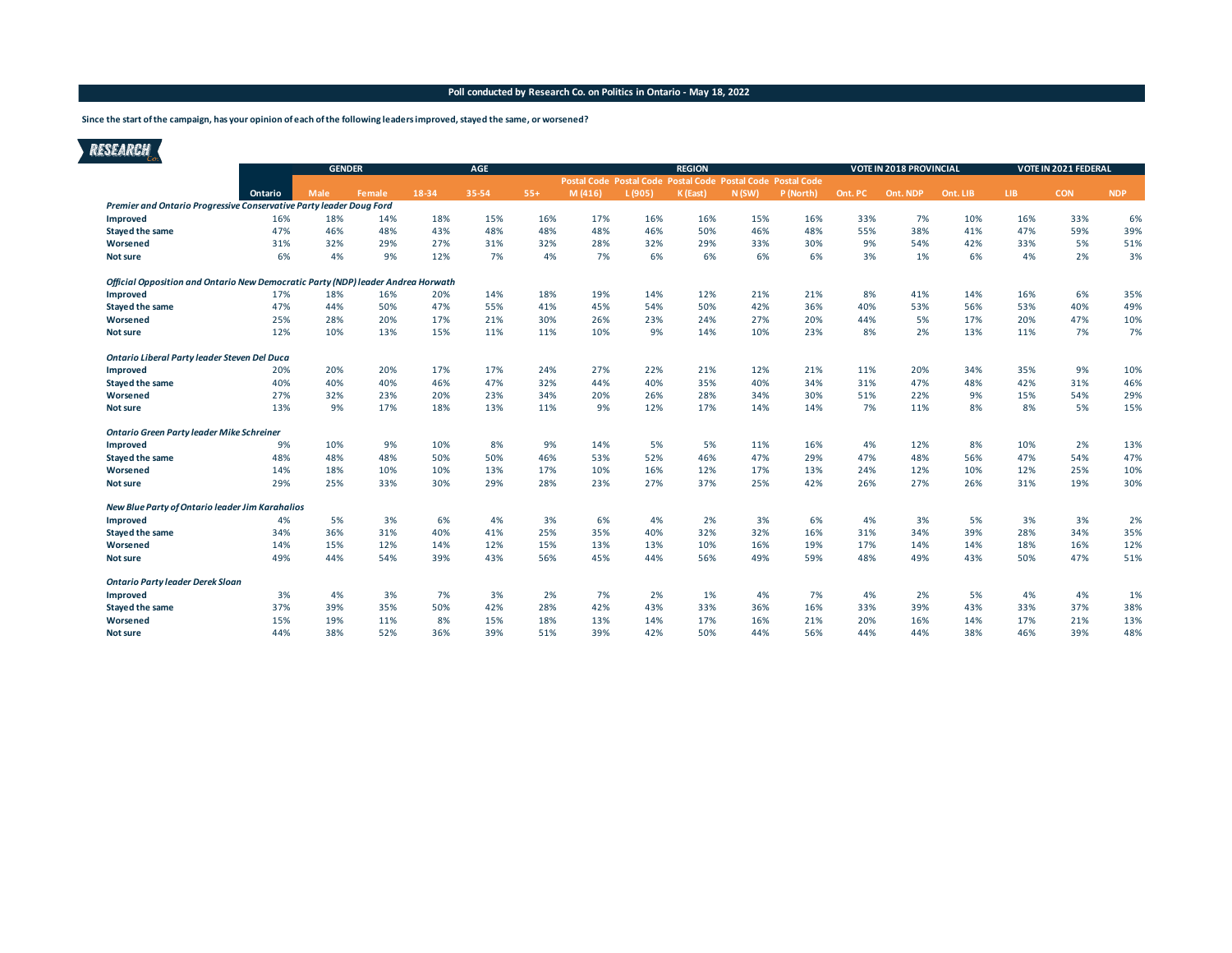**Since the start of the campaign, has your opinion of each of the following leaders improved, stayed the same, or worsened?**

|                                                                                  | <b>GENDER</b> |      |        |       | AGE   |       |                                                             |        | <b>REGION</b> |       |           |         | VOTE IN 2018 PROVINCIAL |          |      | VOTE IN 2021 FEDERAL |            |
|----------------------------------------------------------------------------------|---------------|------|--------|-------|-------|-------|-------------------------------------------------------------|--------|---------------|-------|-----------|---------|-------------------------|----------|------|----------------------|------------|
|                                                                                  |               |      |        |       |       |       | Postal Code Postal Code Postal Code Postal Code Postal Code |        |               |       |           |         |                         |          |      |                      |            |
|                                                                                  | Ontario       | Male | Female | 18-34 | 35-54 | $55+$ | M(416)                                                      | L(905) | K (East)      | N(SW) | P (North) | Ont. PC | Ont. NDP                | Ont. LIB | LIB. | <b>CON</b>           | <b>NDP</b> |
| Premier and Ontario Progressive Conservative Party leader Doug Ford              |               |      |        |       |       |       |                                                             |        |               |       |           |         |                         |          |      |                      |            |
| Improved                                                                         | 16%           | 18%  | 14%    | 18%   | 15%   | 16%   | 17%                                                         | 16%    | 16%           | 15%   | 16%       | 33%     | 7%                      | 10%      | 16%  | 33%                  | 6%         |
| <b>Stayed the same</b>                                                           | 47%           | 46%  | 48%    | 43%   | 48%   | 48%   | 48%                                                         | 46%    | 50%           | 46%   | 48%       | 55%     | 38%                     | 41%      | 47%  | 59%                  | 39%        |
| Worsened                                                                         | 31%           | 32%  | 29%    | 27%   | 31%   | 32%   | 28%                                                         | 32%    | 29%           | 33%   | 30%       | 9%      | 54%                     | 42%      | 33%  | 5%                   | 51%        |
| <b>Not sure</b>                                                                  | 6%            | 4%   | 9%     | 12%   | 7%    | 4%    | 7%                                                          | 6%     | 6%            | 6%    | 6%        | 3%      | 1%                      | 6%       | 4%   | 2%                   | 3%         |
| Official Opposition and Ontario New Democratic Party (NDP) leader Andrea Horwath |               |      |        |       |       |       |                                                             |        |               |       |           |         |                         |          |      |                      |            |
| Improved                                                                         | 17%           | 18%  | 16%    | 20%   | 14%   | 18%   | 19%                                                         | 14%    | 12%           | 21%   | 21%       | 8%      | 41%                     | 14%      | 16%  | 6%                   | 35%        |
| <b>Stayed the same</b>                                                           | 47%           | 44%  | 50%    | 47%   | 55%   | 41%   | 45%                                                         | 54%    | 50%           | 42%   | 36%       | 40%     | 53%                     | 56%      | 53%  | 40%                  | 49%        |
| Worsened                                                                         | 25%           | 28%  | 20%    | 17%   | 21%   | 30%   | 26%                                                         | 23%    | 24%           | 27%   | 20%       | 44%     | 5%                      | 17%      | 20%  | 47%                  | 10%        |
| <b>Not sure</b>                                                                  | 12%           | 10%  | 13%    | 15%   | 11%   | 11%   | 10%                                                         | 9%     | 14%           | 10%   | 23%       | 8%      | 2%                      | 13%      | 11%  | 7%                   | 7%         |
| Ontario Liberal Party leader Steven Del Duca                                     |               |      |        |       |       |       |                                                             |        |               |       |           |         |                         |          |      |                      |            |
| Improved                                                                         | 20%           | 20%  | 20%    | 17%   | 17%   | 24%   | 27%                                                         | 22%    | 21%           | 12%   | 21%       | 11%     | 20%                     | 34%      | 35%  | 9%                   | 10%        |
| <b>Stayed the same</b>                                                           | 40%           | 40%  | 40%    | 46%   | 47%   | 32%   | 44%                                                         | 40%    | 35%           | 40%   | 34%       | 31%     | 47%                     | 48%      | 42%  | 31%                  | 46%        |
| Worsened                                                                         | 27%           | 32%  | 23%    | 20%   | 23%   | 34%   | 20%                                                         | 26%    | 28%           | 34%   | 30%       | 51%     | 22%                     | 9%       | 15%  | 54%                  | 29%        |
| <b>Not sure</b>                                                                  | 13%           | 9%   | 17%    | 18%   | 13%   | 11%   | 9%                                                          | 12%    | 17%           | 14%   | 14%       | 7%      | 11%                     | 8%       | 8%   | 5%                   | 15%        |
| Ontario Green Party leader Mike Schreiner                                        |               |      |        |       |       |       |                                                             |        |               |       |           |         |                         |          |      |                      |            |
| Improved                                                                         | 9%            | 10%  | 9%     | 10%   | 8%    | 9%    | 14%                                                         | 5%     | 5%            | 11%   | 16%       | 4%      | 12%                     | 8%       | 10%  | 2%                   | 13%        |
| <b>Stayed the same</b>                                                           | 48%           | 48%  | 48%    | 50%   | 50%   | 46%   | 53%                                                         | 52%    | 46%           | 47%   | 29%       | 47%     | 48%                     | 56%      | 47%  | 54%                  | 47%        |
| Worsened                                                                         | 14%           | 18%  | 10%    | 10%   | 13%   | 17%   | 10%                                                         | 16%    | 12%           | 17%   | 13%       | 24%     | 12%                     | 10%      | 12%  | 25%                  | 10%        |
| <b>Not sure</b>                                                                  | 29%           | 25%  | 33%    | 30%   | 29%   | 28%   | 23%                                                         | 27%    | 37%           | 25%   | 42%       | 26%     | 27%                     | 26%      | 31%  | 19%                  | 30%        |
| New Blue Party of Ontario leader Jim Karahalios                                  |               |      |        |       |       |       |                                                             |        |               |       |           |         |                         |          |      |                      |            |
| Improved                                                                         | 4%            | 5%   | 3%     | 6%    | 4%    | 3%    | 6%                                                          | 4%     | 2%            | 3%    | 6%        | 4%      | 3%                      | 5%       | 3%   | 3%                   | 2%         |
| <b>Stayed the same</b>                                                           | 34%           | 36%  | 31%    | 40%   | 41%   | 25%   | 35%                                                         | 40%    | 32%           | 32%   | 16%       | 31%     | 34%                     | 39%      | 28%  | 34%                  | 35%        |
| Worsened                                                                         | 14%           | 15%  | 12%    | 14%   | 12%   | 15%   | 13%                                                         | 13%    | 10%           | 16%   | 19%       | 17%     | 14%                     | 14%      | 18%  | 16%                  | 12%        |
| <b>Not sure</b>                                                                  | 49%           | 44%  | 54%    | 39%   | 43%   | 56%   | 45%                                                         | 44%    | 56%           | 49%   | 59%       | 48%     | 49%                     | 43%      | 50%  | 47%                  | 51%        |
| <b>Ontario Party leader Derek Sloan</b>                                          |               |      |        |       |       |       |                                                             |        |               |       |           |         |                         |          |      |                      |            |
| Improved                                                                         | 3%            | 4%   | 3%     | 7%    | 3%    | 2%    | 7%                                                          | 2%     | 1%            | 4%    | 7%        | 4%      | 2%                      | 5%       | 4%   | 4%                   | 1%         |
| <b>Stayed the same</b>                                                           | 37%           | 39%  | 35%    | 50%   | 42%   | 28%   | 42%                                                         | 43%    | 33%           | 36%   | 16%       | 33%     | 39%                     | 43%      | 33%  | 37%                  | 38%        |
| Worsened                                                                         | 15%           | 19%  | 11%    | 8%    | 15%   | 18%   | 13%                                                         | 14%    | 17%           | 16%   | 21%       | 20%     | 16%                     | 14%      | 17%  | 21%                  | 13%        |
| <b>Not sure</b>                                                                  | 44%           | 38%  | 52%    | 36%   | 39%   | 51%   | 39%                                                         | 42%    | 50%           | 44%   | 56%       | 44%     | 44%                     | 38%      | 46%  | 39%                  | 48%        |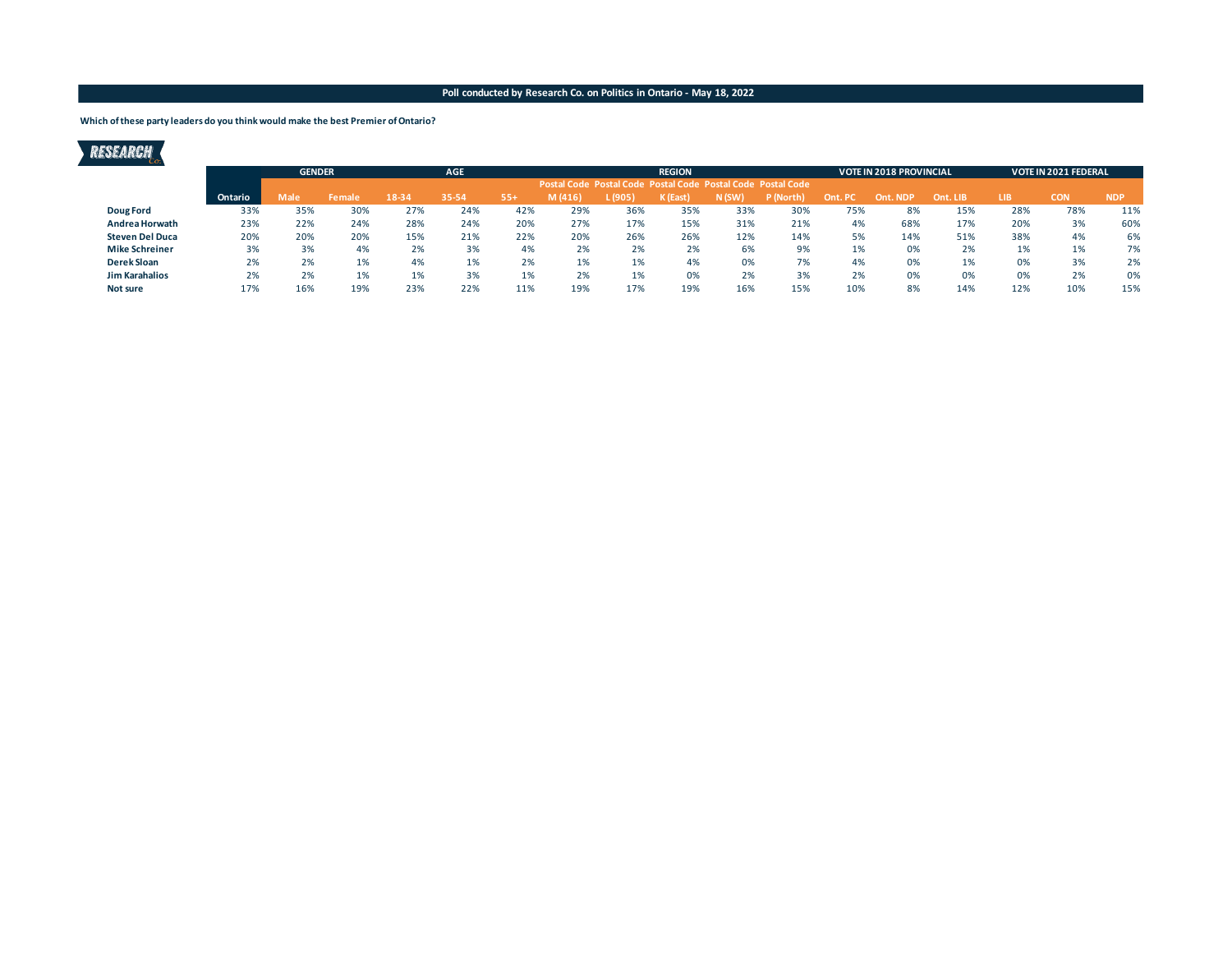**Which of these party leaders do you think would make the best Premier of Ontario?**

|--|--|--|

|                        |         | <b>AGE</b><br><b>GENDER</b> |        |       |       |       |                                                             |          | <b>REGION</b> |       |           |        | <b>VOTE IN 2018 PROVINCIAL</b> |          |            | <b>VOTE IN 2021 FEDERAL</b> |            |
|------------------------|---------|-----------------------------|--------|-------|-------|-------|-------------------------------------------------------------|----------|---------------|-------|-----------|--------|--------------------------------|----------|------------|-----------------------------|------------|
|                        |         |                             |        |       |       |       | Postal Code Postal Code Postal Code Postal Code Postal Code |          |               |       |           |        |                                |          |            |                             |            |
|                        | Ontario | Male                        | Female | 18-34 | 35-54 | $55+$ | M(416)                                                      | l (905), | K (East       | N (SW | P (North) | Ont. P | Ont. NDP                       | Ont. LIB | <b>LIB</b> | <b>CON</b>                  | <b>NDP</b> |
| Doug Ford              | 33%     | 35%                         | 30%    | 27%   | 24%   | 42%   | 29%                                                         | 36%      | 35%           | 33%   | 30%       | 75%    | 8%                             | 15%      | 28%        | 78%                         | 11%        |
| Andrea Horwath         | 23%     | 22%                         | 24%    | 28%   | 24%   | 20%   | 27%                                                         | 17%      | 15%           | 31%   | 21%       | 4%     | 68%                            | 17%      | 20%        | 3%                          | 60%        |
| <b>Steven Del Duca</b> | 20%     | 20%                         | 20%    | 15%   | 21%   | 22%   | 20%                                                         | 26%      | 26%           | 12%   | 14%       | 5%     | 14%                            | 51%      | 38%        | 4%                          | 6%         |
| <b>Mike Schreiner</b>  | 3%      | 3%                          | 4%     | 2%    | 3%    | 4%    | 2%                                                          | 2%       | 2%            | 6%    | 9%        | 1%     | 0%                             | 2%       | 1%         | 1%                          | 7%         |
| Derek Sloan            | 2%      | 2%                          | 1%     | 4%    | 1%    | 2%    | 1%                                                          | 1%       | 4%            | 0%    | 7%        | 4%     | 0%                             | 1%       | 0%         | 3%                          | 2%         |
| <b>Jim Karahalios</b>  | 2%      | 2%                          | 1%     | 1%    | 3%    | 1%    | 2%                                                          | 1%       | 0%            | 2%    | 3%        | 2%     | 0%                             | 0%       | 0%         | 2%                          | 0%         |
| Not sure               | 17%     | 16%                         | 19%    | 23%   | 22%   | 11%   | 19%                                                         | 17%      | 19%           | 16%   | 15%       | 10%    | 8%                             | 14%      | 12%        | 10%                         | 15%        |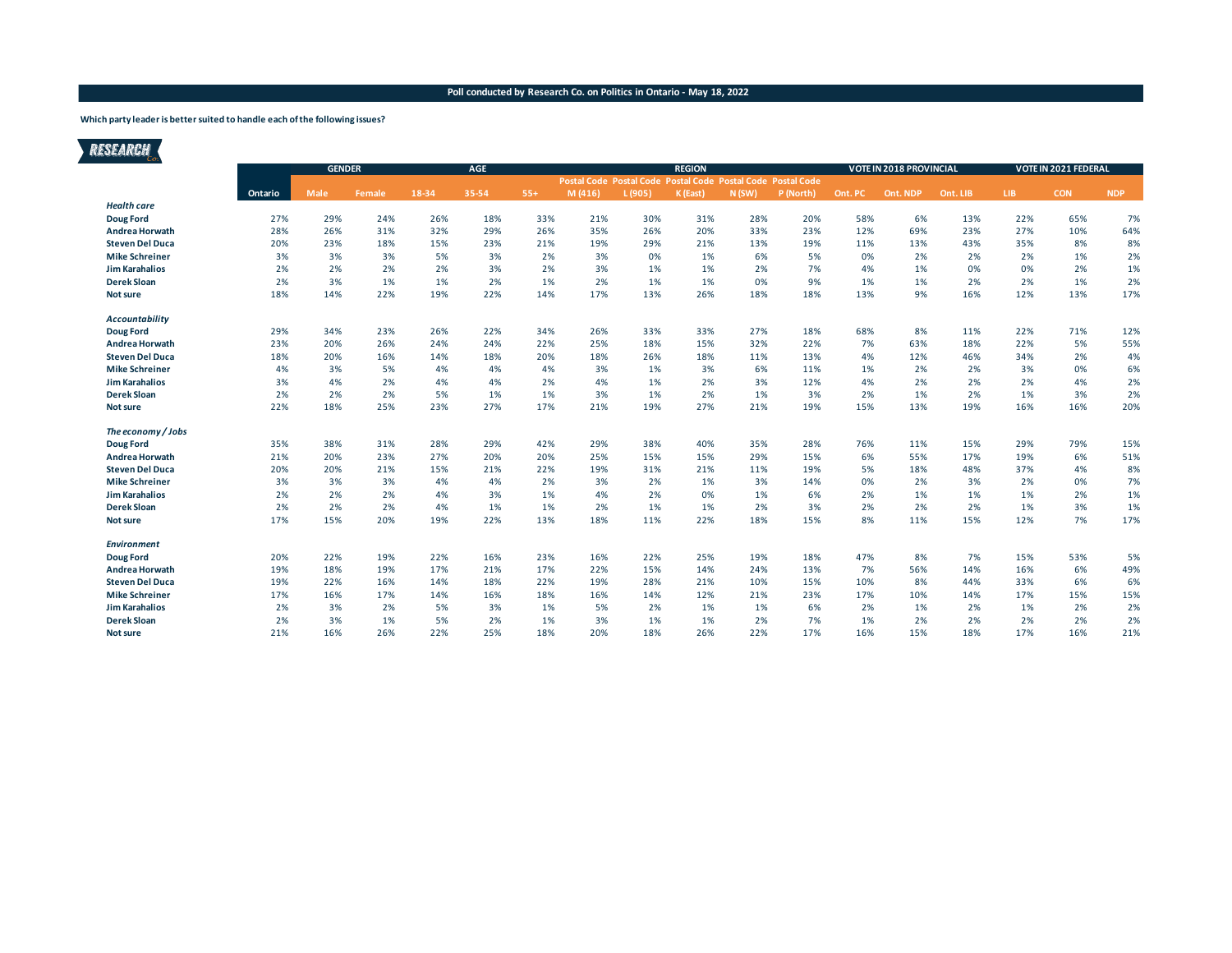### **Which party leader is better suited to handle each of the following issues?**

|                        | <b>GENDER</b> |      |        |       | AGE   |       |                                                             |        | <b>REGION</b> |       |           |         | <b>VOTE IN 2018 PROVINCIAL</b> |          |      | VOTE IN 2021 FEDERAL |            |
|------------------------|---------------|------|--------|-------|-------|-------|-------------------------------------------------------------|--------|---------------|-------|-----------|---------|--------------------------------|----------|------|----------------------|------------|
|                        |               |      |        |       |       |       | Postal Code Postal Code Postal Code Postal Code Postal Code |        |               |       |           |         |                                |          |      |                      |            |
|                        | Ontario       | Male | Female | 18-34 | 35-54 | $55+$ | M(416)                                                      | L(905) | K (East)      | N(SW) | P (North) | Ont. PC | Ont. NDP                       | Ont. LIB | LIB. | <b>CON</b>           | <b>NDP</b> |
| <b>Health care</b>     |               |      |        |       |       |       |                                                             |        |               |       |           |         |                                |          |      |                      |            |
| <b>Doug Ford</b>       | 27%           | 29%  | 24%    | 26%   | 18%   | 33%   | 21%                                                         | 30%    | 31%           | 28%   | 20%       | 58%     | 6%                             | 13%      | 22%  | 65%                  | 7%         |
| Andrea Horwath         | 28%           | 26%  | 31%    | 32%   | 29%   | 26%   | 35%                                                         | 26%    | 20%           | 33%   | 23%       | 12%     | 69%                            | 23%      | 27%  | 10%                  | 64%        |
| <b>Steven Del Duca</b> | 20%           | 23%  | 18%    | 15%   | 23%   | 21%   | 19%                                                         | 29%    | 21%           | 13%   | 19%       | 11%     | 13%                            | 43%      | 35%  | 8%                   | 8%         |
| <b>Mike Schreiner</b>  | 3%            | 3%   | 3%     | 5%    | 3%    | 2%    | 3%                                                          | 0%     | 1%            | 6%    | 5%        | 0%      | 2%                             | 2%       | 2%   | 1%                   | 2%         |
| <b>Jim Karahalios</b>  | 2%            | 2%   | 2%     | 2%    | 3%    | 2%    | 3%                                                          | 1%     | 1%            | 2%    | 7%        | 4%      | 1%                             | 0%       | 0%   | 2%                   | 1%         |
| <b>Derek Sloan</b>     | 2%            | 3%   | 1%     | 1%    | 2%    | 1%    | 2%                                                          | 1%     | 1%            | 0%    | 9%        | 1%      | 1%                             | 2%       | 2%   | 1%                   | 2%         |
| Not sure               | 18%           | 14%  | 22%    | 19%   | 22%   | 14%   | 17%                                                         | 13%    | 26%           | 18%   | 18%       | 13%     | 9%                             | 16%      | 12%  | 13%                  | 17%        |
| <b>Accountability</b>  |               |      |        |       |       |       |                                                             |        |               |       |           |         |                                |          |      |                      |            |
| <b>Doug Ford</b>       | 29%           | 34%  | 23%    | 26%   | 22%   | 34%   | 26%                                                         | 33%    | 33%           | 27%   | 18%       | 68%     | 8%                             | 11%      | 22%  | 71%                  | 12%        |
| Andrea Horwath         | 23%           | 20%  | 26%    | 24%   | 24%   | 22%   | 25%                                                         | 18%    | 15%           | 32%   | 22%       | 7%      | 63%                            | 18%      | 22%  | 5%                   | 55%        |
| <b>Steven Del Duca</b> | 18%           | 20%  | 16%    | 14%   | 18%   | 20%   | 18%                                                         | 26%    | 18%           | 11%   | 13%       | 4%      | 12%                            | 46%      | 34%  | 2%                   | 4%         |
| <b>Mike Schreiner</b>  | 4%            | 3%   | 5%     | 4%    | 4%    | 4%    | 3%                                                          | 1%     | 3%            | 6%    | 11%       | 1%      | 2%                             | 2%       | 3%   | 0%                   | 6%         |
| <b>Jim Karahalios</b>  | 3%            | 4%   | 2%     | 4%    | 4%    | 2%    | 4%                                                          | 1%     | 2%            | 3%    | 12%       | 4%      | 2%                             | 2%       | 2%   | 4%                   | 2%         |
| <b>Derek Sloan</b>     | 2%            | 2%   | 2%     | 5%    | 1%    | 1%    | 3%                                                          | 1%     | 2%            | 1%    | 3%        | 2%      | 1%                             | 2%       | 1%   | 3%                   | 2%         |
| <b>Not sure</b>        | 22%           | 18%  | 25%    | 23%   | 27%   | 17%   | 21%                                                         | 19%    | 27%           | 21%   | 19%       | 15%     | 13%                            | 19%      | 16%  | 16%                  | 20%        |
| The economy / Jobs     |               |      |        |       |       |       |                                                             |        |               |       |           |         |                                |          |      |                      |            |
| <b>Doug Ford</b>       | 35%           | 38%  | 31%    | 28%   | 29%   | 42%   | 29%                                                         | 38%    | 40%           | 35%   | 28%       | 76%     | 11%                            | 15%      | 29%  | 79%                  | 15%        |
| Andrea Horwath         | 21%           | 20%  | 23%    | 27%   | 20%   | 20%   | 25%                                                         | 15%    | 15%           | 29%   | 15%       | 6%      | 55%                            | 17%      | 19%  | 6%                   | 51%        |
| <b>Steven Del Duca</b> | 20%           | 20%  | 21%    | 15%   | 21%   | 22%   | 19%                                                         | 31%    | 21%           | 11%   | 19%       | 5%      | 18%                            | 48%      | 37%  | 4%                   | 8%         |
| <b>Mike Schreiner</b>  | 3%            | 3%   | 3%     | 4%    | 4%    | 2%    | 3%                                                          | 2%     | 1%            | 3%    | 14%       | 0%      | 2%                             | 3%       | 2%   | 0%                   | 7%         |
| <b>Jim Karahalios</b>  | 2%            | 2%   | 2%     | 4%    | 3%    | 1%    | 4%                                                          | 2%     | 0%            | 1%    | 6%        | 2%      | 1%                             | 1%       | 1%   | 2%                   | 1%         |
| <b>Derek Sloan</b>     | 2%            | 2%   | 2%     | 4%    | 1%    | 1%    | 2%                                                          | 1%     | 1%            | 2%    | 3%        | 2%      | 2%                             | 2%       | 1%   | 3%                   | 1%         |
| <b>Not sure</b>        | 17%           | 15%  | 20%    | 19%   | 22%   | 13%   | 18%                                                         | 11%    | 22%           | 18%   | 15%       | 8%      | 11%                            | 15%      | 12%  | 7%                   | 17%        |
| <b>Environment</b>     |               |      |        |       |       |       |                                                             |        |               |       |           |         |                                |          |      |                      |            |
| <b>Doug Ford</b>       | 20%           | 22%  | 19%    | 22%   | 16%   | 23%   | 16%                                                         | 22%    | 25%           | 19%   | 18%       | 47%     | 8%                             | 7%       | 15%  | 53%                  | 5%         |
| Andrea Horwath         | 19%           | 18%  | 19%    | 17%   | 21%   | 17%   | 22%                                                         | 15%    | 14%           | 24%   | 13%       | 7%      | 56%                            | 14%      | 16%  | 6%                   | 49%        |
| <b>Steven Del Duca</b> | 19%           | 22%  | 16%    | 14%   | 18%   | 22%   | 19%                                                         | 28%    | 21%           | 10%   | 15%       | 10%     | 8%                             | 44%      | 33%  | 6%                   | 6%         |
| <b>Mike Schreiner</b>  | 17%           | 16%  | 17%    | 14%   | 16%   | 18%   | 16%                                                         | 14%    | 12%           | 21%   | 23%       | 17%     | 10%                            | 14%      | 17%  | 15%                  | 15%        |
| <b>Jim Karahalios</b>  | 2%            | 3%   | 2%     | 5%    | 3%    | 1%    | 5%                                                          | 2%     | 1%            | 1%    | 6%        | 2%      | 1%                             | 2%       | 1%   | 2%                   | 2%         |
| <b>Derek Sloan</b>     | 2%            | 3%   | 1%     | 5%    | 2%    | 1%    | 3%                                                          | 1%     | 1%            | 2%    | 7%        | 1%      | 2%                             | 2%       | 2%   | 2%                   | 2%         |
| Not sure               | 21%           | 16%  | 26%    | 22%   | 25%   | 18%   | 20%                                                         | 18%    | 26%           | 22%   | 17%       | 16%     | 15%                            | 18%      | 17%  | 16%                  | 21%        |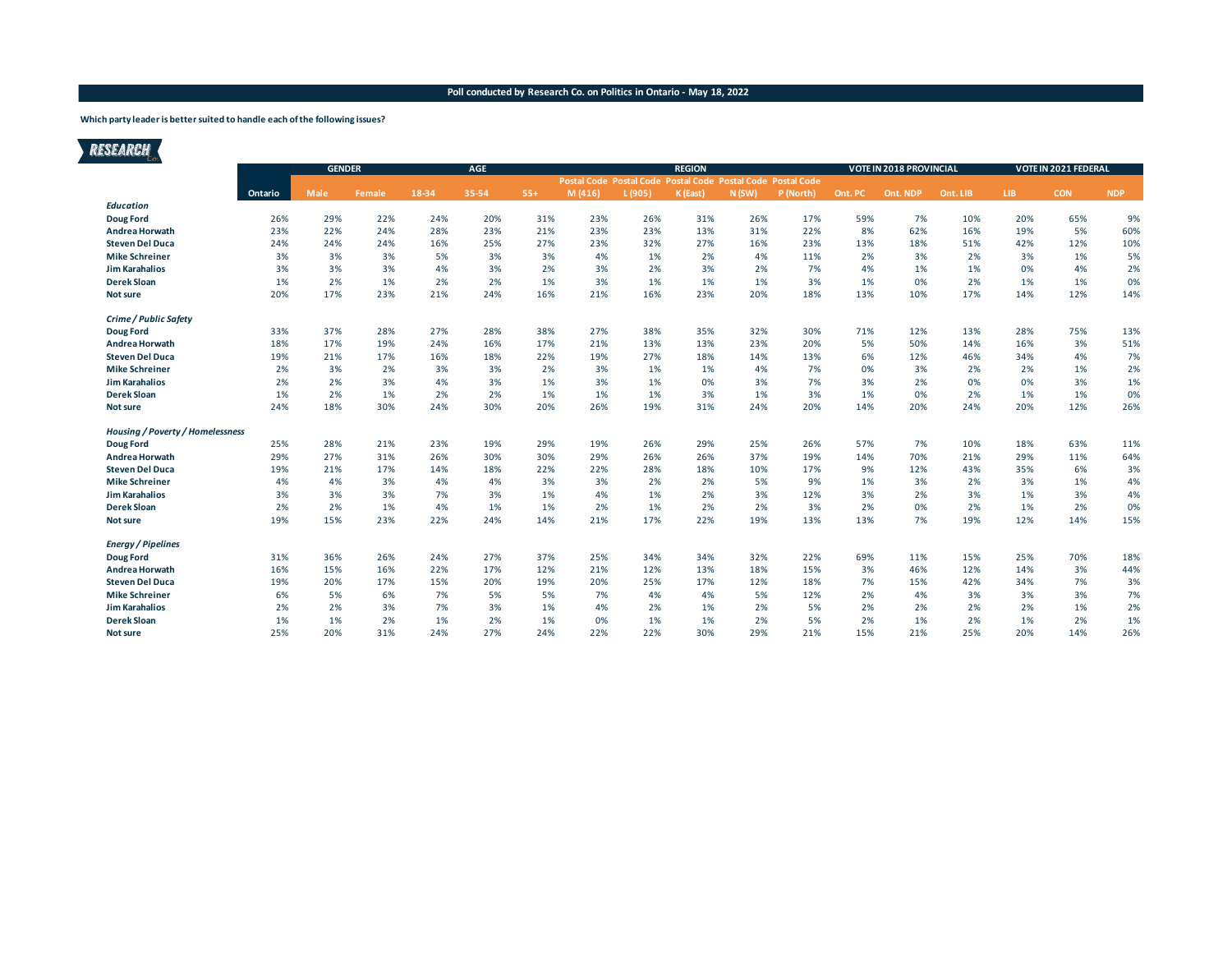**Which party leader is better suited to handle each of the following issues?**

|                                         | <b>GENDER</b> |      |               | <b>AGE</b> |       |       |                                                             | <b>REGION</b> |          |       |           | <b>VOTE IN 2018 PROVINCIAL</b> |          |          | VOTE IN 2021 FEDERAL |            |            |
|-----------------------------------------|---------------|------|---------------|------------|-------|-------|-------------------------------------------------------------|---------------|----------|-------|-----------|--------------------------------|----------|----------|----------------------|------------|------------|
|                                         |               |      |               |            |       |       | Postal Code Postal Code Postal Code Postal Code Postal Code |               |          |       |           |                                |          |          |                      |            |            |
|                                         | Ontario       | Male | <b>Female</b> | 18-34      | 35-54 | $55+$ | M(416)                                                      | L(905)        | K (East) | N(SW) | P (North) | Ont. PC                        | Ont. NDP | Ont. LIB | LIB.                 | <b>CON</b> | <b>NDP</b> |
| <b>Education</b>                        |               |      |               |            |       |       |                                                             |               |          |       |           |                                |          |          |                      |            |            |
| <b>Doug Ford</b>                        | 26%           | 29%  | 22%           | 24%        | 20%   | 31%   | 23%                                                         | 26%           | 31%      | 26%   | 17%       | 59%                            | 7%       | 10%      | 20%                  | 65%        | 9%         |
| Andrea Horwath                          | 23%           | 22%  | 24%           | 28%        | 23%   | 21%   | 23%                                                         | 23%           | 13%      | 31%   | 22%       | 8%                             | 62%      | 16%      | 19%                  | 5%         | 60%        |
| <b>Steven Del Duca</b>                  | 24%           | 24%  | 24%           | 16%        | 25%   | 27%   | 23%                                                         | 32%           | 27%      | 16%   | 23%       | 13%                            | 18%      | 51%      | 42%                  | 12%        | 10%        |
| <b>Mike Schreiner</b>                   | 3%            | 3%   | 3%            | 5%         | 3%    | 3%    | 4%                                                          | 1%            | 2%       | 4%    | 11%       | 2%                             | 3%       | 2%       | 3%                   | 1%         | 5%         |
| <b>Jim Karahalios</b>                   | 3%            | 3%   | 3%            | 4%         | 3%    | 2%    | 3%                                                          | 2%            | 3%       | 2%    | 7%        | 4%                             | 1%       | 1%       | 0%                   | 4%         | 2%         |
| <b>Derek Sloan</b>                      | 1%            | 2%   | 1%            | 2%         | 2%    | 1%    | 3%                                                          | 1%            | 1%       | 1%    | 3%        | 1%                             | 0%       | 2%       | 1%                   | 1%         | 0%         |
| Not sure                                | 20%           | 17%  | 23%           | 21%        | 24%   | 16%   | 21%                                                         | 16%           | 23%      | 20%   | 18%       | 13%                            | 10%      | 17%      | 14%                  | 12%        | 14%        |
| <b>Crime / Public Safety</b>            |               |      |               |            |       |       |                                                             |               |          |       |           |                                |          |          |                      |            |            |
| <b>Doug Ford</b>                        | 33%           | 37%  | 28%           | 27%        | 28%   | 38%   | 27%                                                         | 38%           | 35%      | 32%   | 30%       | 71%                            | 12%      | 13%      | 28%                  | 75%        | 13%        |
| Andrea Horwath                          | 18%           | 17%  | 19%           | 24%        | 16%   | 17%   | 21%                                                         | 13%           | 13%      | 23%   | 20%       | 5%                             | 50%      | 14%      | 16%                  | 3%         | 51%        |
| <b>Steven Del Duca</b>                  | 19%           | 21%  | 17%           | 16%        | 18%   | 22%   | 19%                                                         | 27%           | 18%      | 14%   | 13%       | 6%                             | 12%      | 46%      | 34%                  | 4%         | 7%         |
| <b>Mike Schreiner</b>                   | 2%            | 3%   | 2%            | 3%         | 3%    | 2%    | 3%                                                          | 1%            | 1%       | 4%    | 7%        | 0%                             | 3%       | 2%       | 2%                   | 1%         | 2%         |
| <b>Jim Karahalios</b>                   | 2%            | 2%   | 3%            | 4%         | 3%    | 1%    | 3%                                                          | 1%            | 0%       | 3%    | 7%        | 3%                             | 2%       | 0%       | 0%                   | 3%         | 1%         |
| <b>Derek Sloan</b>                      | 1%            | 2%   | 1%            | 2%         | 2%    | 1%    | 1%                                                          | 1%            | 3%       | 1%    | 3%        | 1%                             | 0%       | 2%       | 1%                   | 1%         | 0%         |
| <b>Not sure</b>                         | 24%           | 18%  | 30%           | 24%        | 30%   | 20%   | 26%                                                         | 19%           | 31%      | 24%   | 20%       | 14%                            | 20%      | 24%      | 20%                  | 12%        | 26%        |
| <b>Housing / Poverty / Homelessness</b> |               |      |               |            |       |       |                                                             |               |          |       |           |                                |          |          |                      |            |            |
| <b>Doug Ford</b>                        | 25%           | 28%  | 21%           | 23%        | 19%   | 29%   | 19%                                                         | 26%           | 29%      | 25%   | 26%       | 57%                            | 7%       | 10%      | 18%                  | 63%        | 11%        |
| Andrea Horwath                          | 29%           | 27%  | 31%           | 26%        | 30%   | 30%   | 29%                                                         | 26%           | 26%      | 37%   | 19%       | 14%                            | 70%      | 21%      | 29%                  | 11%        | 64%        |
| <b>Steven Del Duca</b>                  | 19%           | 21%  | 17%           | 14%        | 18%   | 22%   | 22%                                                         | 28%           | 18%      | 10%   | 17%       | 9%                             | 12%      | 43%      | 35%                  | 6%         | 3%         |
| <b>Mike Schreiner</b>                   | 4%            | 4%   | 3%            | 4%         | 4%    | 3%    | 3%                                                          | 2%            | 2%       | 5%    | 9%        | 1%                             | 3%       | 2%       | 3%                   | 1%         | 4%         |
| <b>Jim Karahalios</b>                   | 3%            | 3%   | 3%            | 7%         | 3%    | 1%    | 4%                                                          | 1%            | 2%       | 3%    | 12%       | 3%                             | 2%       | 3%       | 1%                   | 3%         | 4%         |
| <b>Derek Sloan</b>                      | 2%            | 2%   | 1%            | 4%         | 1%    | 1%    | 2%                                                          | 1%            | 2%       | 2%    | 3%        | 2%                             | 0%       | 2%       | 1%                   | 2%         | 0%         |
| <b>Not sure</b>                         | 19%           | 15%  | 23%           | 22%        | 24%   | 14%   | 21%                                                         | 17%           | 22%      | 19%   | 13%       | 13%                            | 7%       | 19%      | 12%                  | 14%        | 15%        |
| Energy / Pipelines                      |               |      |               |            |       |       |                                                             |               |          |       |           |                                |          |          |                      |            |            |
| <b>Doug Ford</b>                        | 31%           | 36%  | 26%           | 24%        | 27%   | 37%   | 25%                                                         | 34%           | 34%      | 32%   | 22%       | 69%                            | 11%      | 15%      | 25%                  | 70%        | 18%        |
| Andrea Horwath                          | 16%           | 15%  | 16%           | 22%        | 17%   | 12%   | 21%                                                         | 12%           | 13%      | 18%   | 15%       | 3%                             | 46%      | 12%      | 14%                  | 3%         | 44%        |
| <b>Steven Del Duca</b>                  | 19%           | 20%  | 17%           | 15%        | 20%   | 19%   | 20%                                                         | 25%           | 17%      | 12%   | 18%       | 7%                             | 15%      | 42%      | 34%                  | 7%         | 3%         |
| <b>Mike Schreiner</b>                   | 6%            | 5%   | 6%            | 7%         | 5%    | 5%    | 7%                                                          | 4%            | 4%       | 5%    | 12%       | 2%                             | 4%       | 3%       | 3%                   | 3%         | 7%         |
| <b>Jim Karahalios</b>                   | 2%            | 2%   | 3%            | 7%         | 3%    | 1%    | 4%                                                          | 2%            | 1%       | 2%    | 5%        | 2%                             | 2%       | 2%       | 2%                   | 1%         | 2%         |
| <b>Derek Sloan</b>                      | 1%            | 1%   | 2%            | 1%         | 2%    | 1%    | 0%                                                          | 1%            | 1%       | 2%    | 5%        | 2%                             | 1%       | 2%       | 1%                   | 2%         | 1%         |
| <b>Not sure</b>                         | 25%           | 20%  | 31%           | 24%        | 27%   | 24%   | 22%                                                         | 22%           | 30%      | 29%   | 21%       | 15%                            | 21%      | 25%      | 20%                  | 14%        | 26%        |